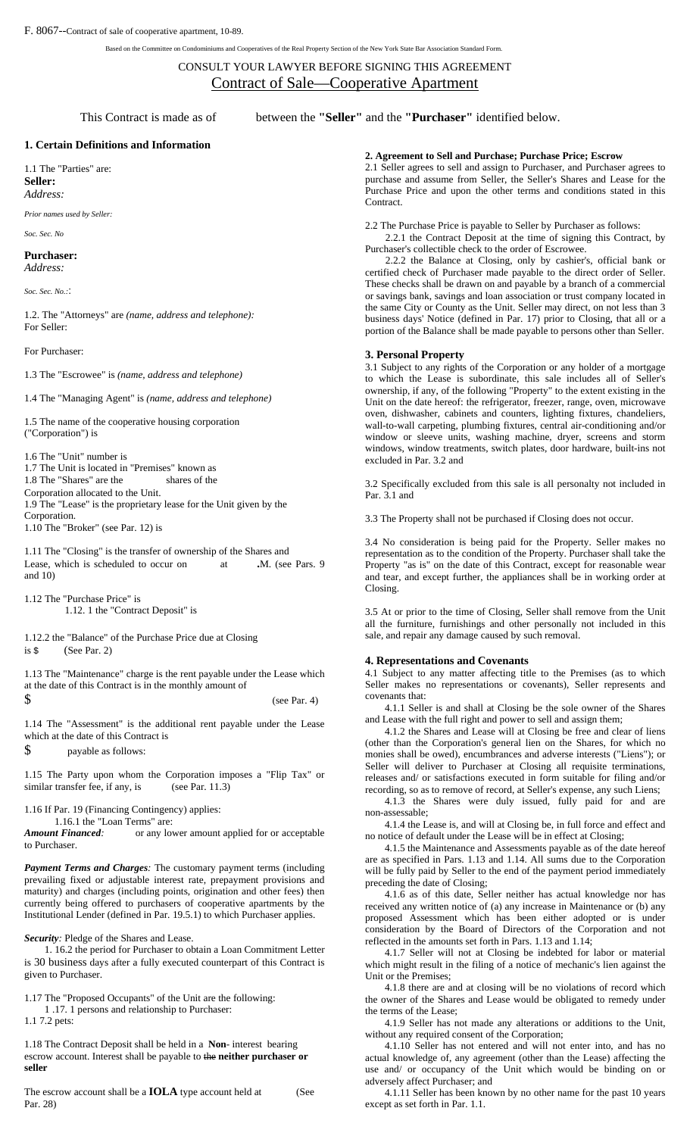Based on the Committee on Condominiums and Cooperatives of the Real Property Section of the New York State Bar Association Standard Form.

# CONSULT YOUR LAWYER BEFORE SIGNING THIS AGREEMENT Contract of Sale—Cooperative Apartment

This Contract is made as of between the **"Seller"** and the **"Purchaser"** identified below.

## **1. Certain Definitions and Information**

1.1 The "Parties" are: **Seller:**  *Address:*

*Prior names used by Seller:* 

## *Soc. Sec. No*

**Purchaser:** 

*Address:* 

*Soc. Sec. No.:*:

1.2. The "Attorneys" are *(name, address and telephone):*  For Seller:

## For Purchaser:

1.3 The "Escrowee" is *(name, address and telephone)* 

1.4 The "Managing Agent" is *(name, address and telephone)* 

1.5 The name of the cooperative housing corporation ("Corporation") is

1.6 The "Unit" number is 1.7 The Unit is located in "Premises" known as 1.8 The "Shares" are the shares of the Corporation allocated to the Unit. 1.9 The "Lease" is the proprietary lease for the Unit given by the Corporation. 1.10 The "Broker" (see Par. 12) is

1.11 The "Closing" is the transfer of ownership of the Shares and Lease, which is scheduled to occur on at M. (see Pars. 9 and 10)

1.12 The "Purchase Price" is 1.12. 1 the "Contract Deposit" is

1.12.2 the "Balance" of the Purchase Price due at Closing is \$(See Par. 2)

1.13 The "Maintenance" charge is the rent payable under the Lease which at the date of this Contract is in the monthly amount of  $\text{\$}$  (see Par. 4)

1.14 The "Assessment" is the additional rent payable under the Lease which at the date of this Contract is

\$ payable as follows:

1.15 The Party upon whom the Corporation imposes a "Flip Tax" or similar transfer fee, if any, is (see Par. 11.3)

1.16 If Par. 19 (Financing Contingency) applies:

 1.16.1 the "Loan Terms" are: *Amount Financed:* or any lower amount applied for or acceptable

to Purchaser.

*Payment Terms and Charges:* The customary payment terms (including prevailing fixed or adjustable interest rate, prepayment provisions and maturity) and charges (including points, origination and other fees) then currently being offered to purchasers of cooperative apartments by the Institutional Lender (defined in Par. 19.5.1) to which Purchaser applies.

*Security:* Pledge of the Shares and Lease.

1. 16.2 the period for Purchaser to obtain a Loan Commitment Letter is 30 business days after a fully executed counterpart of this Contract is given to Purchaser.

1.17 The "Proposed Occupants" of the Unit are the following:

1 .17. 1 persons and relationship to Purchaser:

1.1 7.2 pets:

1.18 The Contract Deposit shall be held in a **Non**- interest bearing escrow account. Interest shall be payable to the **neither purchaser or seller**

The escrow account shall be a **IOLA** type account held at (See Par. 28)

# **2. Agreement to Sell and Purchase; Purchase Price; Escrow**

2.1 Seller agrees to sell and assign to Purchaser, and Purchaser agrees to purchase and assume from Seller, the Seller's Shares and Lease for the Purchase Price and upon the other terms and conditions stated in this Contract.

2.2 The Purchase Price is payable to Seller by Purchaser as follows:

2.2.1 the Contract Deposit at the time of signing this Contract, by Purchaser's collectible check to the order of Escrowee.

2.2.2 the Balance at Closing, only by cashier's, official bank or certified check of Purchaser made payable to the direct order of Seller. These checks shall be drawn on and payable by a branch of a commercial or savings bank, savings and loan association or trust company located in the same City or County as the Unit. Seller may direct, on not less than 3 business days' Notice (defined in Par. 17) prior to Closing, that all or a portion of the Balance shall be made payable to persons other than Seller.

# **3. Personal Property**

3.1 Subject to any rights of the Corporation or any holder of a mortgage to which the Lease is subordinate, this sale includes all of Seller's ownership, if any, of the following "Property" to the extent existing in the Unit on the date hereof: the refrigerator, freezer, range, oven, microwave oven, dishwasher, cabinets and counters, lighting fixtures, chandeliers, wall-to-wall carpeting, plumbing fixtures, central air-conditioning and/or window or sleeve units, washing machine, dryer, screens and storm windows, window treatments, switch plates, door hardware, built-ins not excluded in Par. 3.2 and

3.2 Specifically excluded from this sale is all personalty not included in Par. 3.1 and

3.3 The Property shall not be purchased if Closing does not occur.

3.4 No consideration is being paid for the Property. Seller makes no representation as to the condition of the Property. Purchaser shall take the Property "as is" on the date of this Contract, except for reasonable wear and tear, and except further, the appliances shall be in working order at Closing.

3.5 At or prior to the time of Closing, Seller shall remove from the Unit all the furniture, furnishings and other personally not included in this sale, and repair any damage caused by such removal.

### **4. Representations and Covenants**

4.1 Subject to any matter affecting title to the Premises (as to which Seller makes no representations or covenants), Seller represents and covenants that:

4.1.1 Seller is and shall at Closing be the sole owner of the Shares and Lease with the full right and power to sell and assign them;

4.1.2 the Shares and Lease will at Closing be free and clear of liens (other than the Corporation's general lien on the Shares, for which no monies shall be owed), encumbrances and adverse interests ("Liens"); or Seller will deliver to Purchaser at Closing all requisite terminations, releases and/ or satisfactions executed in form suitable for filing and/or recording, so as to remove of record, at Seller's expense, any such Liens;

4.1.3 the Shares were duly issued, fully paid for and are non-assessable;

4.1.4 the Lease is, and will at Closing be, in full force and effect and no notice of default under the Lease will be in effect at Closing;

4.1.5 the Maintenance and Assessments payable as of the date hereof are as specified in Pars. 1.13 and 1.14. All sums due to the Corporation will be fully paid by Seller to the end of the payment period immediately preceding the date of Closing;

4.1.6 as of this date, Seller neither has actual knowledge nor has received any written notice of (a) any increase in Maintenance or (b) any proposed Assessment which has been either adopted or is under consideration by the Board of Directors of the Corporation and not reflected in the amounts set forth in Pars. 1.13 and 1.14;

4.1.7 Seller will not at Closing be indebted for labor or material which might result in the filing of a notice of mechanic's lien against the Unit or the Premises;

4.1.8 there are and at closing will be no violations of record which the owner of the Shares and Lease would be obligated to remedy under the terms of the Lease;

4.1.9 Seller has not made any alterations or additions to the Unit, without any required consent of the Corporation;

4.1.10 Seller has not entered and will not enter into, and has no actual knowledge of, any agreement (other than the Lease) affecting the use and/ or occupancy of the Unit which would be binding on or adversely affect Purchaser; and

4.1.11 Seller has been known by no other name for the past 10 years except as set forth in Par. 1.1.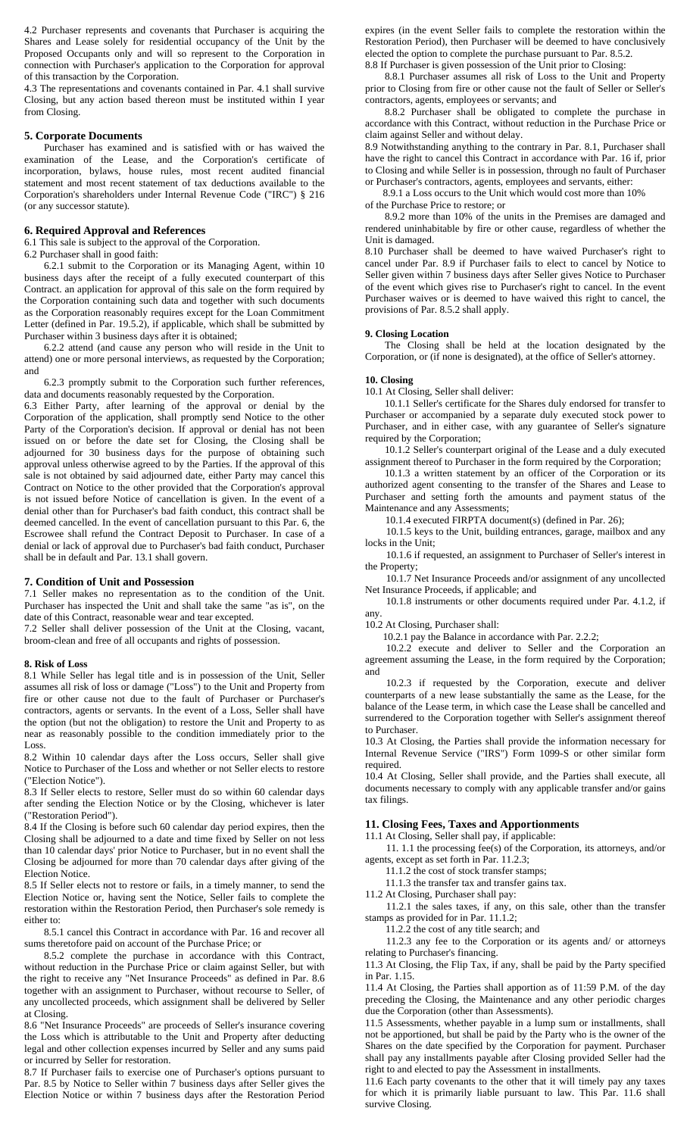4.2 Purchaser represents and covenants that Purchaser is acquiring the Shares and Lease solely for residential occupancy of the Unit by the Proposed Occupants only and will so represent to the Corporation in connection with Purchaser's application to the Corporation for approval of this transaction by the Corporation.

4.3 The representations and covenants contained in Par. 4.1 shall survive Closing, but any action based thereon must be instituted within I year from Closing.

## **5. Corporate Documents**

Purchaser has examined and is satisfied with or has waived the examination of the Lease, and the Corporation's certificate of incorporation, bylaws, house rules, most recent audited financial statement and most recent statement of tax deductions available to the Corporation's shareholders under Internal Revenue Code ("IRC") § 216 (or any successor statute).

## **6. Required Approval and References**

6.1 This sale is subject to the approval of the Corporation.

6.2 Purchaser shall in good faith:

6.2.1 submit to the Corporation or its Managing Agent, within 10 business days after the receipt of a fully executed counterpart of this Contract. an application for approval of this sale on the form required by the Corporation containing such data and together with such documents as the Corporation reasonably requires except for the Loan Commitment Letter (defined in Par. 19.5.2), if applicable, which shall be submitted by Purchaser within 3 business days after it is obtained;

6.2.2 attend (and cause any person who will reside in the Unit to attend) one or more personal interviews, as requested by the Corporation; and

6.2.3 promptly submit to the Corporation such further references, data and documents reasonably requested by the Corporation.

6.3 Either Party, after learning of the approval or denial by the Corporation of the application, shall promptly send Notice to the other Party of the Corporation's decision. If approval or denial has not been issued on or before the date set for Closing, the Closing shall be adjourned for 30 business days for the purpose of obtaining such approval unless otherwise agreed to by the Parties. If the approval of this sale is not obtained by said adjourned date, either Party may cancel this Contract on Notice to the other provided that the Corporation's approval is not issued before Notice of cancellation is given. In the event of a denial other than for Purchaser's bad faith conduct, this contract shall be deemed cancelled. In the event of cancellation pursuant to this Par. 6, the Escrowee shall refund the Contract Deposit to Purchaser. In case of a denial or lack of approval due to Purchaser's bad faith conduct, Purchaser shall be in default and Par. 13.1 shall govern.

### **7. Condition of Unit and Possession**

7.1 Seller makes no representation as to the condition of the Unit. Purchaser has inspected the Unit and shall take the same "as is", on the date of this Contract, reasonable wear and tear excepted.

7.2 Seller shall deliver possession of the Unit at the Closing, vacant, broom-clean and free of all occupants and rights of possession.

#### **8. Risk of Loss**

8.1 While Seller has legal title and is in possession of the Unit, Seller assumes all risk of loss or damage ("Loss") to the Unit and Property from fire or other cause not due to the fault of Purchaser or Purchaser's contractors, agents or servants. In the event of a Loss, Seller shall have the option (but not the obligation) to restore the Unit and Property to as near as reasonably possible to the condition immediately prior to the Loss.

8.2 Within 10 calendar days after the Loss occurs, Seller shall give Notice to Purchaser of the Loss and whether or not Seller elects to restore ("Election Notice").

8.3 If Seller elects to restore, Seller must do so within 60 calendar days after sending the Election Notice or by the Closing, whichever is later ("Restoration Period").

8.4 If the Closing is before such 60 calendar day period expires, then the Closing shall be adjourned to a date and time fixed by Seller on not less than 10 calendar days' prior Notice to Purchaser, but in no event shall the Closing be adjourned for more than 70 calendar days after giving of the Election Notice.

8.5 If Seller elects not to restore or fails, in a timely manner, to send the Election Notice or, having sent the Notice, Seller fails to complete the restoration within the Restoration Period, then Purchaser's sole remedy is either to:

8.5.1 cancel this Contract in accordance with Par. 16 and recover all sums theretofore paid on account of the Purchase Price; or

8.5.2 complete the purchase in accordance with this Contract, without reduction in the Purchase Price or claim against Seller, but with the right to receive any "Net Insurance Proceeds" as defined in Par. 8.6 together with an assignment to Purchaser, without recourse to Seller, of any uncollected proceeds, which assignment shall be delivered by Seller at Closing.

8.6 "Net Insurance Proceeds" are proceeds of Seller's insurance covering the Loss which is attributable to the Unit and Property after deducting legal and other collection expenses incurred by Seller and any sums paid or incurred by Seller for restoration.

8.7 If Purchaser fails to exercise one of Purchaser's options pursuant to Par. 8.5 by Notice to Seller within 7 business days after Seller gives the Election Notice or within 7 business days after the Restoration Period expires (in the event Seller fails to complete the restoration within the Restoration Period), then Purchaser will be deemed to have conclusively elected the option to complete the purchase pursuant to Par. 8.5.2. 8.8 If Purchaser is given possession of the Unit prior to Closing:

8.8.1 Purchaser assumes all risk of Loss to the Unit and Property prior to Closing from fire or other cause not the fault of Seller or Seller's contractors, agents, employees or servants; and

8.8.2 Purchaser shall be obligated to complete the purchase in accordance with this Contract, without reduction in the Purchase Price or claim against Seller and without delay.

8.9 Notwithstanding anything to the contrary in Par. 8.1, Purchaser shall have the right to cancel this Contract in accordance with Par. 16 if, prior to Closing and while Seller is in possession, through no fault of Purchaser or Purchaser's contractors, agents, employees and servants, either:

8.9.1 a Loss occurs to the Unit which would cost more than 10%

of the Purchase Price to restore; or

8.9.2 more than 10% of the units in the Premises are damaged and rendered uninhabitable by fire or other cause, regardless of whether the Unit is damaged.

8.10 Purchaser shall be deemed to have waived Purchaser's right to cancel under Par. 8.9 if Purchaser fails to elect to cancel by Notice to Seller given within 7 business days after Seller gives Notice to Purchaser of the event which gives rise to Purchaser's right to cancel. In the event Purchaser waives or is deemed to have waived this right to cancel, the provisions of Par. 8.5.2 shall apply.

#### **9. Closing Location**

The Closing shall be held at the location designated by the Corporation, or (if none is designated), at the office of Seller's attorney.

# **10. Closing**

10.1 At Closing, Seller shall deliver:

10.1.1 Seller's certificate for the Shares duly endorsed for transfer to Purchaser or accompanied by a separate duly executed stock power to Purchaser, and in either case, with any guarantee of Seller's signature required by the Corporation;

10.1.2 Seller's counterpart original of the Lease and a duly executed assignment thereof to Purchaser in the form required by the Corporation;

10.1.3 a written statement by an officer of the Corporation or its authorized agent consenting to the transfer of the Shares and Lease to Purchaser and setting forth the amounts and payment status of the Maintenance and any Assessments;

10.1.4 executed FIRPTA document(s) (defined in Par. 26);

10.1.5 keys to the Unit, building entrances, garage, mailbox and any locks in the Unit;

10.1.6 if requested, an assignment to Purchaser of Seller's interest in the Property;

10.1.7 Net Insurance Proceeds and/or assignment of any uncollected Net Insurance Proceeds, if applicable; and

10.1.8 instruments or other documents required under Par. 4.1.2, if any.

10.2 At Closing, Purchaser shall:

10.2.1 pay the Balance in accordance with Par. 2.2.2;

10.2.2 execute and deliver to Seller and the Corporation an agreement assuming the Lease, in the form required by the Corporation; and

10.2.3 if requested by the Corporation, execute and deliver counterparts of a new lease substantially the same as the Lease, for the balance of the Lease term, in which case the Lease shall be cancelled and surrendered to the Corporation together with Seller's assignment thereof to Purchaser.

10.3 At Closing, the Parties shall provide the information necessary for Internal Revenue Service ("IRS") Form 1099-S or other similar form required.

10.4 At Closing, Seller shall provide, and the Parties shall execute, all documents necessary to comply with any applicable transfer and/or gains tax filings.

## **11. Closing Fees, Taxes and Apportionments**

11.1 At Closing, Seller shall pay, if applicable:

11. 1.1 the processing fee(s) of the Corporation, its attorneys, and/or agents, except as set forth in Par. 11.2.3;

11.1.2 the cost of stock transfer stamps;

11.1.3 the transfer tax and transfer gains tax.

11.2 At Closing, Purchaser shall pay:

11.2.1 the sales taxes, if any, on this sale, other than the transfer stamps as provided for in Par. 11.1.2;

11.2.2 the cost of any title search; and

11.2.3 any fee to the Corporation or its agents and/ or attorneys relating to Purchaser's financing.

11.3 At Closing, the Flip Tax, if any, shall be paid by the Party specified in Par. 1.15.

11.4 At Closing, the Parties shall apportion as of 11:59 P.M. of the day preceding the Closing, the Maintenance and any other periodic charges due the Corporation (other than Assessments).

11.5 Assessments, whether payable in a lump sum or installments, shall not be apportioned, but shall be paid by the Party who is the owner of the Shares on the date specified by the Corporation for payment. Purchaser shall pay any installments payable after Closing provided Seller had the right to and elected to pay the Assessment in installments.

11.6 Each party covenants to the other that it will timely pay any taxes for which it is primarily liable pursuant to law. This Par. 11.6 shall survive Closing.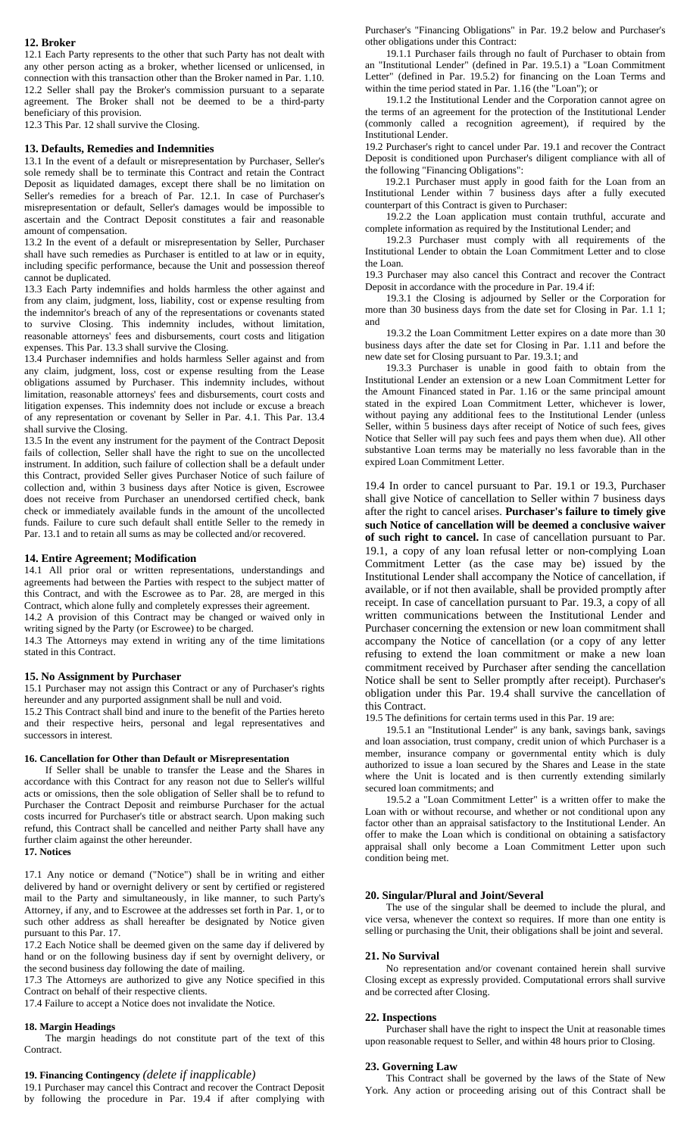## **12. Broker**

12.1 Each Party represents to the other that such Party has not dealt with any other person acting as a broker, whether licensed or unlicensed, in connection with this transaction other than the Broker named in Par. 1.10. 12.2 Seller shall pay the Broker's commission pursuant to a separate agreement. The Broker shall not be deemed to be a third-party beneficiary of this provision.

12.3 This Par. 12 shall survive the Closing.

### **13. Defaults, Remedies and Indemnities**

13.1 In the event of a default or misrepresentation by Purchaser, Seller's sole remedy shall be to terminate this Contract and retain the Contract Deposit as liquidated damages, except there shall be no limitation on Seller's remedies for a breach of Par. 12.1. In case of Purchaser's misrepresentation or default, Seller's damages would be impossible to ascertain and the Contract Deposit constitutes a fair and reasonable amount of compensation.

13.2 In the event of a default or misrepresentation by Seller, Purchaser shall have such remedies as Purchaser is entitled to at law or in equity, including specific performance, because the Unit and possession thereof cannot be duplicated.

13.3 Each Party indemnifies and holds harmless the other against and from any claim, judgment, loss, liability, cost or expense resulting from the indemnitor's breach of any of the representations or covenants stated to survive Closing. This indemnity includes, without limitation, reasonable attorneys' fees and disbursements, court costs and litigation expenses. This Par. 13.3 shall survive the Closing.

13.4 Purchaser indemnifies and holds harmless Seller against and from any claim, judgment, loss, cost or expense resulting from the Lease obligations assumed by Purchaser. This indemnity includes, without limitation, reasonable attorneys' fees and disbursements, court costs and litigation expenses. This indemnity does not include or excuse a breach of any representation or covenant by Seller in Par. 4.1. This Par. 13.4 shall survive the Closing.

13.5 In the event any instrument for the payment of the Contract Deposit fails of collection, Seller shall have the right to sue on the uncollected instrument. In addition, such failure of collection shall be a default under this Contract, provided Seller gives Purchaser Notice of such failure of collection and, within 3 business days after Notice is given, Escrowee does not receive from Purchaser an unendorsed certified check, bank check or immediately available funds in the amount of the uncollected funds. Failure to cure such default shall entitle Seller to the remedy in Par. 13.1 and to retain all sums as may be collected and/or recovered.

## **14. Entire Agreement; Modification**

14.1 All prior oral or written representations, understandings and agreements had between the Parties with respect to the subject matter of this Contract, and with the Escrowee as to Par. 28, are merged in this Contract, which alone fully and completely expresses their agreement.

14.2 A provision of this Contract may be changed or waived only in writing signed by the Party (or Escrowee) to be charged.

14.3 The Attorneys may extend in writing any of the time limitations stated in this Contract.

### **15. No Assignment by Purchaser**

15.1 Purchaser may not assign this Contract or any of Purchaser's rights hereunder and any purported assignment shall be null and void.

15.2 This Contract shall bind and inure to the benefit of the Parties hereto and their respective heirs, personal and legal representatives and successors in interest.

## **16. Cancellation for Other than Default or Misrepresentation**

If Seller shall be unable to transfer the Lease and the Shares in accordance with this Contract for any reason not due to Seller's willful acts or omissions, then the sole obligation of Seller shall be to refund to Purchaser the Contract Deposit and reimburse Purchaser for the actual costs incurred for Purchaser's title or abstract search. Upon making such refund, this Contract shall be cancelled and neither Party shall have any further claim against the other hereunder.

## **17. Notices**

17.1 Any notice or demand ("Notice") shall be in writing and either delivered by hand or overnight delivery or sent by certified or registered mail to the Party and simultaneously, in like manner, to such Party's Attorney, if any, and to Escrowee at the addresses set forth in Par. 1, or to such other address as shall hereafter be designated by Notice given pursuant to this Par. 17.

17.2 Each Notice shall be deemed given on the same day if delivered by hand or on the following business day if sent by overnight delivery, or the second business day following the date of mailing.

17.3 The Attorneys are authorized to give any Notice specified in this Contract on behalf of their respective clients.

17.4 Failure to accept a Notice does not invalidate the Notice.

#### **18. Margin Headings**

The margin headings do not constitute part of the text of this Contract.

### **19. Financing Contingency** *(delete if inapplicable)*

19.1 Purchaser may cancel this Contract and recover the Contract Deposit by following the procedure in Par. 19.4 if after complying with

Purchaser's "Financing Obligations" in Par. 19.2 below and Purchaser's other obligations under this Contract:

19.1.1 Purchaser fails through no fault of Purchaser to obtain from an "Institutional Lender" (defined in Par. 19.5.1) a "Loan Commitment Letter" (defined in Par. 19.5.2) for financing on the Loan Terms and within the time period stated in Par. 1.16 (the "Loan"); or

19.1.2 the Institutional Lender and the Corporation cannot agree on the terms of an agreement for the protection of the Institutional Lender (commonly called a recognition agreement), if required by the Institutional Lender.

19.2 Purchaser's right to cancel under Par. 19.1 and recover the Contract Deposit is conditioned upon Purchaser's diligent compliance with all of the following "Financing Obligations":

 19.2.1 Purchaser must apply in good faith for the Loan from an Institutional Lender within 7 business days after a fully executed counterpart of this Contract is given to Purchaser:

19.2.2 the Loan application must contain truthful, accurate and complete information as required by the Institutional Lender; and

19.2.3 Purchaser must comply with all requirements of the Institutional Lender to obtain the Loan Commitment Letter and to close the Loan.

19.3 Purchaser may also cancel this Contract and recover the Contract Deposit in accordance with the procedure in Par. 19.4 if:

19.3.1 the Closing is adjourned by Seller or the Corporation for more than 30 business days from the date set for Closing in Par. 1.1 1; and

19.3.2 the Loan Commitment Letter expires on a date more than 30 business days after the date set for Closing in Par. 1.11 and before the new date set for Closing pursuant to Par. 19.3.1; and

19.3.3 Purchaser is unable in good faith to obtain from the Institutional Lender an extension or a new Loan Commitment Letter for the Amount Financed stated in Par. 1.16 or the same principal amount stated in the expired Loan Commitment Letter, whichever is lower, without paying any additional fees to the Institutional Lender (unless Seller, within 5 business days after receipt of Notice of such fees, gives Notice that Seller will pay such fees and pays them when due). All other substantive Loan terms may be materially no less favorable than in the expired Loan Commitment Letter.

19.4 In order to cancel pursuant to Par. 19.1 or 19.3, Purchaser shall give Notice of cancellation to Seller within 7 business days after the right to cancel arises. **Purchaser's failure to timely give such Notice of cancellation will be deemed a conclusive waiver of such right to cancel.** In case of cancellation pursuant to Par. 19.1, a copy of any loan refusal letter or non-complying Loan Commitment Letter (as the case may be) issued by the Institutional Lender shall accompany the Notice of cancellation, if available, or if not then available, shall be provided promptly after receipt. In case of cancellation pursuant to Par. 19.3, a copy of all written communications between the Institutional Lender and Purchaser concerning the extension or new loan commitment shall accompany the Notice of cancellation (or a copy of any letter refusing to extend the loan commitment or make a new loan commitment received by Purchaser after sending the cancellation Notice shall be sent to Seller promptly after receipt). Purchaser's obligation under this Par. 19.4 shall survive the cancellation of this Contract.

19.5 The definitions for certain terms used in this Par. 19 are:

19.5.1 an "Institutional Lender" is any bank, savings bank, savings and loan association, trust company, credit union of which Purchaser is a member, insurance company or governmental entity which is duly authorized to issue a loan secured by the Shares and Lease in the state where the Unit is located and is then currently extending similarly secured loan commitments; and

19.5.2 a "Loan Commitment Letter" is a written offer to make the Loan with or without recourse, and whether or not conditional upon any factor other than an appraisal satisfactory to the Institutional Lender. An offer to make the Loan which is conditional on obtaining a satisfactory appraisal shall only become a Loan Commitment Letter upon such condition being met.

### **20. Singular/Plural and Joint/Several**

The use of the singular shall be deemed to include the plural, and vice versa, whenever the context so requires. If more than one entity is selling or purchasing the Unit, their obligations shall be joint and several.

#### **21. No Survival**

No representation and/or covenant contained herein shall survive Closing except as expressly provided. Computational errors shall survive and be corrected after Closing.

#### **22. Inspections**

Purchaser shall have the right to inspect the Unit at reasonable times upon reasonable request to Seller, and within 48 hours prior to Closing.

#### **23. Governing Law**

This Contract shall be governed by the laws of the State of New York. Any action or proceeding arising out of this Contract shall be